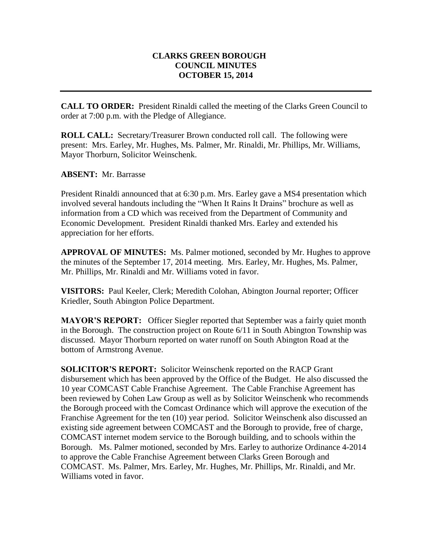## **CLARKS GREEN BOROUGH COUNCIL MINUTES OCTOBER 15, 2014**

**CALL TO ORDER:** President Rinaldi called the meeting of the Clarks Green Council to order at 7:00 p.m. with the Pledge of Allegiance.

**ROLL CALL:** Secretary/Treasurer Brown conducted roll call. The following were present: Mrs. Earley, Mr. Hughes, Ms. Palmer, Mr. Rinaldi, Mr. Phillips, Mr. Williams, Mayor Thorburn, Solicitor Weinschenk.

**ABSENT:** Mr. Barrasse

President Rinaldi announced that at 6:30 p.m. Mrs. Earley gave a MS4 presentation which involved several handouts including the "When It Rains It Drains" brochure as well as information from a CD which was received from the Department of Community and Economic Development. President Rinaldi thanked Mrs. Earley and extended his appreciation for her efforts.

**APPROVAL OF MINUTES:** Ms. Palmer motioned, seconded by Mr. Hughes to approve the minutes of the September 17, 2014 meeting. Mrs. Earley, Mr. Hughes, Ms. Palmer, Mr. Phillips, Mr. Rinaldi and Mr. Williams voted in favor.

**VISITORS:** Paul Keeler, Clerk; Meredith Colohan, Abington Journal reporter; Officer Kriedler, South Abington Police Department.

**MAYOR'S REPORT:** Officer Siegler reported that September was a fairly quiet month in the Borough. The construction project on Route 6/11 in South Abington Township was discussed. Mayor Thorburn reported on water runoff on South Abington Road at the bottom of Armstrong Avenue.

**SOLICITOR'S REPORT:** Solicitor Weinschenk reported on the RACP Grant disbursement which has been approved by the Office of the Budget. He also discussed the 10 year COMCAST Cable Franchise Agreement. The Cable Franchise Agreement has been reviewed by Cohen Law Group as well as by Solicitor Weinschenk who recommends the Borough proceed with the Comcast Ordinance which will approve the execution of the Franchise Agreement for the ten (10) year period. Solicitor Weinschenk also discussed an existing side agreement between COMCAST and the Borough to provide, free of charge, COMCAST internet modem service to the Borough building, and to schools within the Borough. Ms. Palmer motioned, seconded by Mrs. Earley to authorize Ordinance 4-2014 to approve the Cable Franchise Agreement between Clarks Green Borough and COMCAST. Ms. Palmer, Mrs. Earley, Mr. Hughes, Mr. Phillips, Mr. Rinaldi, and Mr. Williams voted in favor.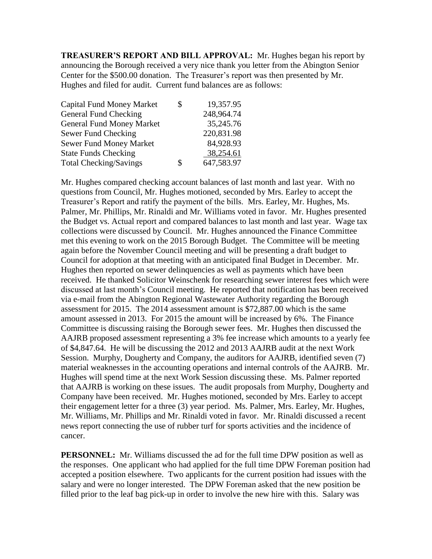**TREASURER'S REPORT AND BILL APPROVAL:** Mr. Hughes began his report by announcing the Borough received a very nice thank you letter from the Abington Senior Center for the \$500.00 donation. The Treasurer's report was then presented by Mr. Hughes and filed for audit. Current fund balances are as follows:

| <b>Capital Fund Money Market</b> | S | 19,357.95  |
|----------------------------------|---|------------|
| General Fund Checking            |   | 248,964.74 |
| <b>General Fund Money Market</b> |   | 35,245.76  |
| Sewer Fund Checking              |   | 220,831.98 |
| <b>Sewer Fund Money Market</b>   |   | 84,928.93  |
| <b>State Funds Checking</b>      |   | 38,254.61  |
| <b>Total Checking/Savings</b>    | S | 647,583.97 |
|                                  |   |            |

Mr. Hughes compared checking account balances of last month and last year. With no questions from Council, Mr. Hughes motioned, seconded by Mrs. Earley to accept the Treasurer's Report and ratify the payment of the bills. Mrs. Earley, Mr. Hughes, Ms. Palmer, Mr. Phillips, Mr. Rinaldi and Mr. Williams voted in favor. Mr. Hughes presented the Budget vs. Actual report and compared balances to last month and last year. Wage tax collections were discussed by Council. Mr. Hughes announced the Finance Committee met this evening to work on the 2015 Borough Budget. The Committee will be meeting again before the November Council meeting and will be presenting a draft budget to Council for adoption at that meeting with an anticipated final Budget in December. Mr. Hughes then reported on sewer delinquencies as well as payments which have been received. He thanked Solicitor Weinschenk for researching sewer interest fees which were discussed at last month's Council meeting. He reported that notification has been received via e-mail from the Abington Regional Wastewater Authority regarding the Borough assessment for 2015. The 2014 assessment amount is \$72,887.00 which is the same amount assessed in 2013. For 2015 the amount will be increased by 6%. The Finance Committee is discussing raising the Borough sewer fees. Mr. Hughes then discussed the AAJRB proposed assessment representing a 3% fee increase which amounts to a yearly fee of \$4,847.64. He will be discussing the 2012 and 2013 AAJRB audit at the next Work Session. Murphy, Dougherty and Company, the auditors for AAJRB, identified seven (7) material weaknesses in the accounting operations and internal controls of the AAJRB. Mr. Hughes will spend time at the next Work Session discussing these. Ms. Palmer reported that AAJRB is working on these issues. The audit proposals from Murphy, Dougherty and Company have been received. Mr. Hughes motioned, seconded by Mrs. Earley to accept their engagement letter for a three (3) year period. Ms. Palmer, Mrs. Earley, Mr. Hughes, Mr. Williams, Mr. Phillips and Mr. Rinaldi voted in favor. Mr. Rinaldi discussed a recent news report connecting the use of rubber turf for sports activities and the incidence of cancer.

**PERSONNEL:** Mr. Williams discussed the ad for the full time DPW position as well as the responses. One applicant who had applied for the full time DPW Foreman position had accepted a position elsewhere. Two applicants for the current position had issues with the salary and were no longer interested. The DPW Foreman asked that the new position be filled prior to the leaf bag pick-up in order to involve the new hire with this. Salary was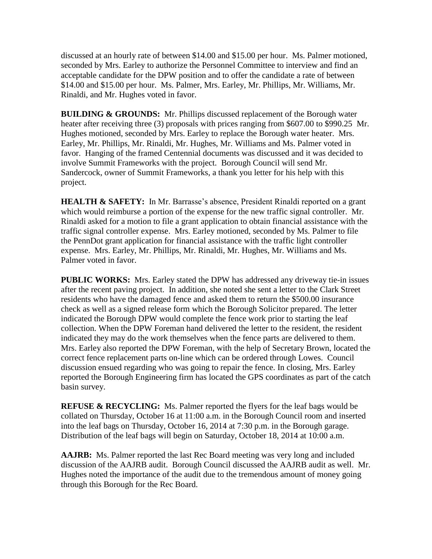discussed at an hourly rate of between \$14.00 and \$15.00 per hour. Ms. Palmer motioned, seconded by Mrs. Earley to authorize the Personnel Committee to interview and find an acceptable candidate for the DPW position and to offer the candidate a rate of between \$14.00 and \$15.00 per hour. Ms. Palmer, Mrs. Earley, Mr. Phillips, Mr. Williams, Mr. Rinaldi, and Mr. Hughes voted in favor.

**BUILDING & GROUNDS:** Mr. Phillips discussed replacement of the Borough water heater after receiving three (3) proposals with prices ranging from \$607.00 to \$990.25 Mr. Hughes motioned, seconded by Mrs. Earley to replace the Borough water heater. Mrs. Earley, Mr. Phillips, Mr. Rinaldi, Mr. Hughes, Mr. Williams and Ms. Palmer voted in favor. Hanging of the framed Centennial documents was discussed and it was decided to involve Summit Frameworks with the project. Borough Council will send Mr. Sandercock, owner of Summit Frameworks, a thank you letter for his help with this project.

**HEALTH & SAFETY:** In Mr. Barrasse's absence, President Rinaldi reported on a grant which would reimburse a portion of the expense for the new traffic signal controller. Mr. Rinaldi asked for a motion to file a grant application to obtain financial assistance with the traffic signal controller expense. Mrs. Earley motioned, seconded by Ms. Palmer to file the PennDot grant application for financial assistance with the traffic light controller expense. Mrs. Earley, Mr. Phillips, Mr. Rinaldi, Mr. Hughes, Mr. Williams and Ms. Palmer voted in favor.

**PUBLIC WORKS:** Mrs. Earley stated the DPW has addressed any driveway tie-in issues after the recent paving project. In addition, she noted she sent a letter to the Clark Street residents who have the damaged fence and asked them to return the \$500.00 insurance check as well as a signed release form which the Borough Solicitor prepared. The letter indicated the Borough DPW would complete the fence work prior to starting the leaf collection. When the DPW Foreman hand delivered the letter to the resident, the resident indicated they may do the work themselves when the fence parts are delivered to them. Mrs. Earley also reported the DPW Foreman, with the help of Secretary Brown, located the correct fence replacement parts on-line which can be ordered through Lowes. Council discussion ensued regarding who was going to repair the fence. In closing, Mrs. Earley reported the Borough Engineering firm has located the GPS coordinates as part of the catch basin survey.

**REFUSE & RECYCLING:** Ms. Palmer reported the flyers for the leaf bags would be collated on Thursday, October 16 at 11:00 a.m. in the Borough Council room and inserted into the leaf bags on Thursday, October 16, 2014 at 7:30 p.m. in the Borough garage. Distribution of the leaf bags will begin on Saturday, October 18, 2014 at 10:00 a.m.

**AAJRB:** Ms. Palmer reported the last Rec Board meeting was very long and included discussion of the AAJRB audit. Borough Council discussed the AAJRB audit as well. Mr. Hughes noted the importance of the audit due to the tremendous amount of money going through this Borough for the Rec Board.